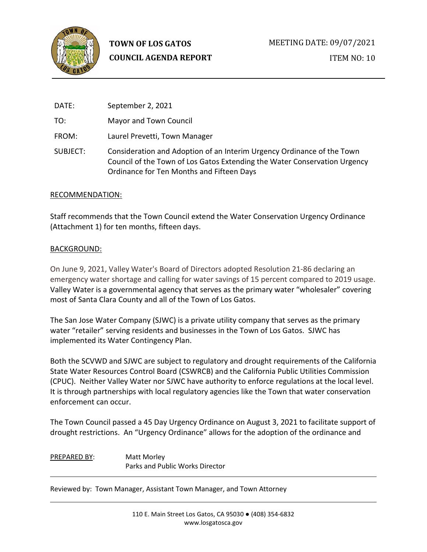

**TOWN OF LOS GATOS COUNCIL AGENDA REPORT**

DATE: September 2, 2021 TO: Mayor and Town Council FROM: Laurel Prevetti, Town Manager SUBJECT: Consideration and Adoption of an Interim Urgency Ordinance of the Town Council of the Town of Los Gatos Extending the Water Conservation Urgency Ordinance for Ten Months and Fifteen Days

## RECOMMENDATION:

Staff recommends that the Town Council extend the Water Conservation Urgency Ordinance (Attachment 1) for ten months, fifteen days.

## BACKGROUND:

On June 9, 2021, Valley Water's Board of Directors adopted Resolution 21-86 declaring an emergency water shortage and calling for water savings of 15 percent compared to 2019 usage. Valley Water is a governmental agency that serves as the primary water "wholesaler" covering most of Santa Clara County and all of the Town of Los Gatos.

The San Jose Water Company (SJWC) is a private utility company that serves as the primary water "retailer" serving residents and businesses in the Town of Los Gatos. SJWC has implemented its Water Contingency Plan.

Both the SCVWD and SJWC are subject to regulatory and drought requirements of the California State Water Resources Control Board (CSWRCB) and the California Public Utilities Commission (CPUC). Neither Valley Water nor SJWC have authority to enforce regulations at the local level. It is through partnerships with local regulatory agencies like the Town that water conservation enforcement can occur.

The Town Council passed a 45 Day Urgency Ordinance on August 3, 2021 to facilitate support of drought restrictions. An "Urgency Ordinance" allows for the adoption of the ordinance and

PREPARED BY: Matt Morley Parks and Public Works Director

Reviewed by: Town Manager, Assistant Town Manager, and Town Attorney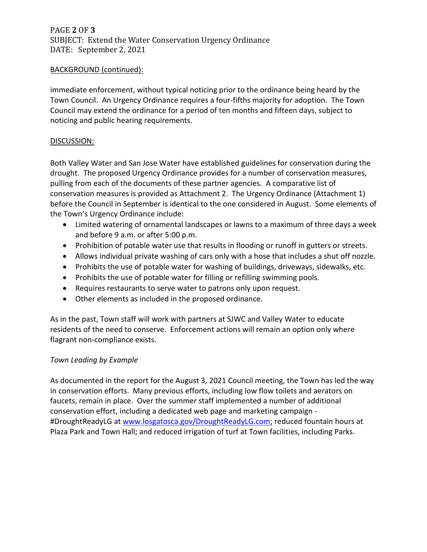PAGE **2** OF **3** SUBJECT: Extend the Water Conservation Urgency Ordinance DATE: September 2, 2021

## BACKGROUND (continued):

immediate enforcement, without typical noticing prior to the ordinance being heard by the Town Council. An Urgency Ordinance requires a four-fifths majority for adoption. The Town Council may extend the ordinance for a period of ten months and fifteen days, subject to noticing and public hearing requirements.

## DISCUSSION:

Both Valley Water and San Jose Water have established guidelines for conservation during the drought. The proposed Urgency Ordinance provides for a number of conservation measures, pulling from each of the documents of these partner agencies. A comparative list of conservation measures is provided as Attachment 2. The Urgency Ordinance (Attachment 1) before the Council in September is identical to the one considered in August. Some elements of the Town's Urgency Ordinance include:

- Limited watering of ornamental landscapes or lawns to a maximum of three days a week and before 9 a.m. or after 5:00 p.m.
- Prohibition of potable water use that results in flooding or runoff in gutters or streets.
- Allows individual private washing of cars only with a hose that includes a shut off nozzle.
- Prohibits the use of potable water for washing of buildings, driveways, sidewalks, etc.
- Prohibits the use of potable water for filling or refilling swimming pools.
- Requires restaurants to serve water to patrons only upon request.
- Other elements as included in the proposed ordinance.

As in the past, Town staff will work with partners at SJWC and Valley Water to educate residents of the need to conserve. Enforcement actions will remain an option only where flagrant non-compliance exists.

# *Town Leading by Example*

As documented in the report for the August 3, 2021 Council meeting, the Town has led the way in conservation efforts. Many previous efforts, including low flow toilets and aerators on faucets, remain in place. Over the summer staff implemented a number of additional conservation effort, including a dedicated web page and marketing campaign #DroughtReadyLG at [www.losgatosca.gov/DroughtReadyLG.com;](http://www.losgatosca.gov/DroughtReadyLG.com) reduced fountain hours at Plaza Park and Town Hall; and reduced irrigation of turf at Town facilities, including Parks.